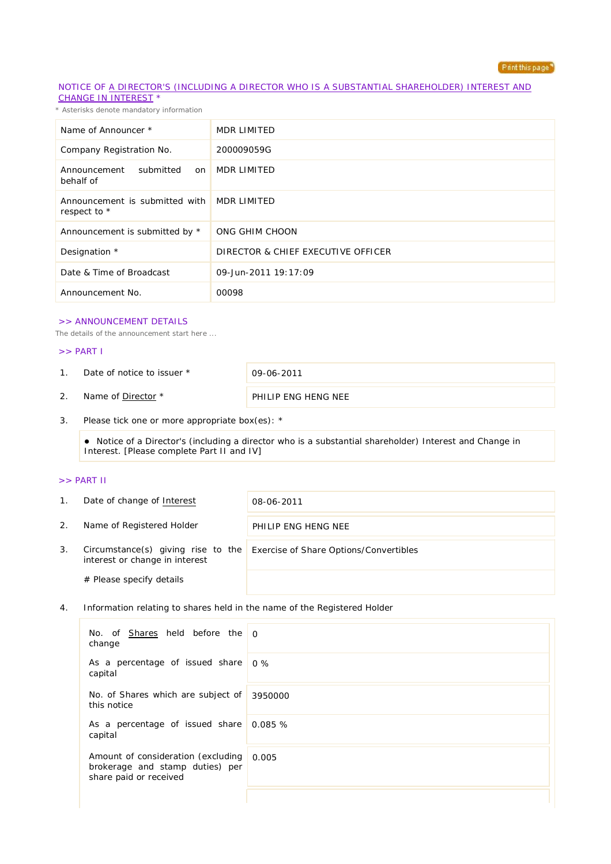

### NOTICE OF A DIRECTOR'S (INCLUDING A DIRECTOR WHO IS A SUBSTANTIAL SHAREHOLDER) INTEREST AND CHANGE IN INTEREST \*

*\* Asterisks denote mandatory information*

| Name of Announcer *                            | MDR LIMITED                        |
|------------------------------------------------|------------------------------------|
| Company Registration No.                       | 200009059G                         |
| Announcement<br>submitted<br>on<br>behalf of   | MDR LIMITED                        |
| Announcement is submitted with<br>respect to * | MDR LIMITED                        |
| Announcement is submitted by *                 | ONG GHIM CHOON                     |
| Designation *                                  | DIRECTOR & CHIEF EXECUTIVE OFFICER |
| Date & Time of Broadcast                       | 09-Jun-2011 19:17:09               |
| Announcement No.                               | 00098                              |

### >> ANNOUNCEMENT DETAILS

*The details of the announcement start here ...*

#### >> PART I

1. Date of notice to issuer \* 09-06-2011

2. Name of <u>Director</u> \* PHILIP ENG HENG NEE

3. Please tick one or more appropriate box(es): \*

 Notice of a Director's (including a director who is a substantial shareholder) Interest and Change in Interest. [Please complete Part II and IV]

## >> PART II

| 1. | Date of change of Interest                                           | 08-06-2011                             |
|----|----------------------------------------------------------------------|----------------------------------------|
| 2. | Name of Registered Holder                                            | PHILIP ENG HENG NEE                    |
| 3. | Circumstance(s) giving rise to the<br>interest or change in interest | Exercise of Share Options/Convertibles |
|    | # Please specify details                                             |                                        |

4. Information relating to shares held in the name of the Registered Holder

| No. of <b>Shares</b> held before the 0<br>change                                                      |  |
|-------------------------------------------------------------------------------------------------------|--|
| As a percentage of issued share 0%<br>capital                                                         |  |
| No. of Shares which are subject of 3950000<br>this notice                                             |  |
| As a percentage of issued share 0.085 %<br>capital                                                    |  |
| Amount of consideration (excluding 0.005<br>brokerage and stamp duties) per<br>share paid or received |  |
|                                                                                                       |  |